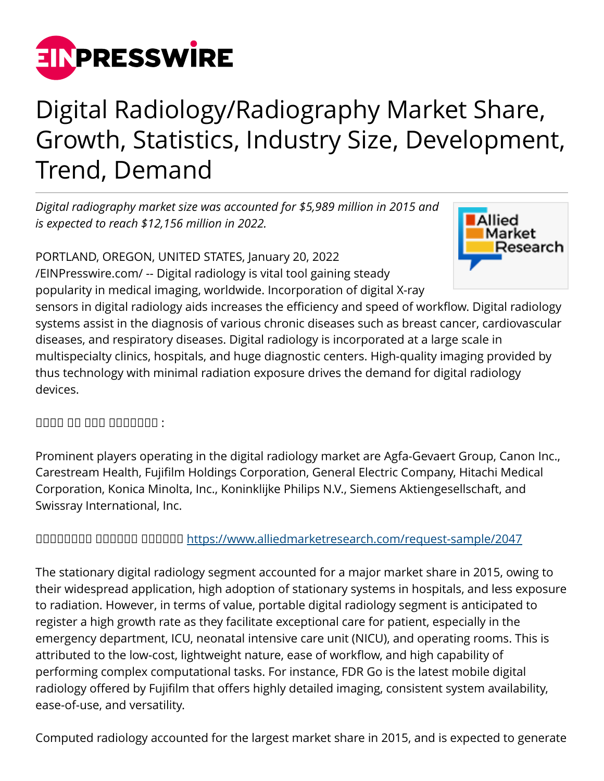

## Digital Radiology/Radiography Market Share, Growth, Statistics, Industry Size, Development, Trend, Demand

*Digital radiography market size was accounted for \$5,989 million in 2015 and is expected to reach \$12,156 million in 2022.*

PORTLAND, OREGON, UNITED STATES, January 20, 2022





sensors in digital radiology aids increases the efficiency and speed of workflow. Digital radiology systems assist in the diagnosis of various chronic diseases such as breast cancer, cardiovascular diseases, and respiratory diseases. Digital radiology is incorporated at a large scale in multispecialty clinics, hospitals, and huge diagnostic centers. High-quality imaging provided by thus technology with minimal radiation exposure drives the demand for digital radiology devices.

 $\Box$ 

Prominent players operating in the digital radiology market are Agfa-Gevaert Group, Canon Inc., Carestream Health, Fujifilm Holdings Corporation, General Electric Company, Hitachi Medical Corporation, Konica Minolta, Inc., Koninklijke Philips N.V., Siemens Aktiengesellschaft, and Swissray International, Inc.

## ᵀᵂᵃᵂᵂᵂᵁᵁ ᵁᵁᵂᵂᵂᵁ ᵁᵁᵂᵂᵂᵂ<https://www.alliedmarketresearch.com/request-sample/2047>

The stationary digital radiology segment accounted for a major market share in 2015, owing to their widespread application, high adoption of stationary systems in hospitals, and less exposure to radiation. However, in terms of value, portable digital radiology segment is anticipated to register a high growth rate as they facilitate exceptional care for patient, especially in the emergency department, ICU, neonatal intensive care unit (NICU), and operating rooms. This is attributed to the low-cost, lightweight nature, ease of workflow, and high capability of performing complex computational tasks. For instance, FDR Go is the latest mobile digital radiology offered by Fujifilm that offers highly detailed imaging, consistent system availability, ease-of-use, and versatility.

Computed radiology accounted for the largest market share in 2015, and is expected to generate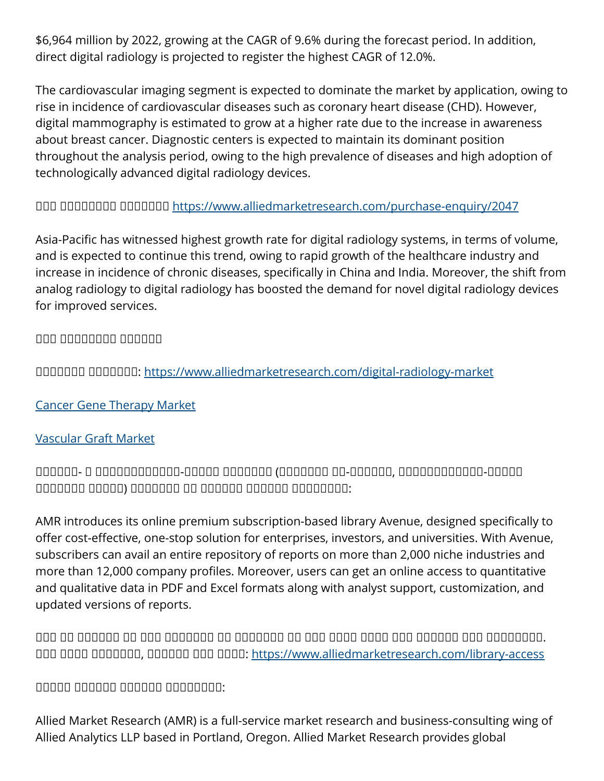\$6,964 million by 2022, growing at the CAGR of 9.6% during the forecast period. In addition, direct digital radiology is projected to register the highest CAGR of 12.0%.

The cardiovascular imaging segment is expected to dominate the market by application, owing to rise in incidence of cardiovascular diseases such as coronary heart disease (CHD). However, digital mammography is estimated to grow at a higher rate due to the increase in awareness about breast cancer. Diagnostic centers is expected to maintain its dominant position throughout the analysis period, owing to the high prevalence of diseases and high adoption of technologically advanced digital radiology devices.

ᵀᵂᵂ ᵀᵂᵂᵁᵂᵁᵂᵁ ᵀᵂᵂᵂᵂᵂᵃ <https://www.alliedmarketresearch.com/purchase-enquiry/2047>

Asia-Pacific has witnessed highest growth rate for digital radiology systems, in terms of volume, and is expected to continue this trend, owing to rapid growth of the healthcare industry and increase in incidence of chronic diseases, specifically in China and India. Moreover, the shift from analog radiology to digital radiology has boosted the demand for novel digital radiology devices for improved services.

ᵝᵟᵠ ᵝᵟᵠᵞᵟᵟᵟᵟ ᵁᵁᵂᵂᵂᵂ

UUUUUU UUUUUU:<https://www.alliedmarketresearch.com/digital-radiology-market>

[Cancer Gene Therapy Market](https://www.alliedmarketresearch.com/cancer-gene-therapy-market)

## [Vascular Graft Market](https://www.alliedmarketresearch.com/vascular-graft-market)

ᵀᵁᵀᵀᵁᵀ- ᵀ ᵁᵂᵁᵂᵁᵂᵂᵂᵂᵂᵂᵂ-ᵀᵁᵂᵁᵁ ᵀᵂᵁᵂᵁᵂᵃ (ᵀᵂᵁᵂᵂᵂᵂ ᵂᵂ-ᵁᵁᵂᵁᵂᵁ, ᵂᵂᵁᵂᵁᵂᵂᵂᵂᵂᵂᵂ-ᵁᵁᵂᵁᵁ ᵂᵂᵂᵁᵂᵂᵂ ᵂᵂᵁᵁᵂ) ᵀᵁᵁᵁᵂᵁᵁ ᵁᵃ ᵀᵂᵂᵂᵁᵁ ᵀᵁᵂᵂᵁᵂ ᵁᵁᵂᵁᵁᵂᵁᵂ:

AMR introduces its online premium subscription-based library Avenue, designed specifically to offer cost-effective, one-stop solution for enterprises, investors, and universities. With Avenue, subscribers can avail an entire repository of reports on more than 2,000 niche industries and more than 12,000 company profiles. Moreover, users can get an online access to quantitative and qualitative data in PDF and Excel formats along with analyst support, customization, and updated versions of reports.

 $\Box$ ᵀᵂᵂ ᵂᵂᵂᵁ ᵁᵁᵂᵁᵂᵂᵂ, ᵁᵂᵂᵂᵂᵃ ᵂᵂᵁ ᵂᵂᵂᵂ:<https://www.alliedmarketresearch.com/library-access>

 $\Box$ 

Allied Market Research (AMR) is a full-service market research and business-consulting wing of Allied Analytics LLP based in Portland, Oregon. Allied Market Research provides global